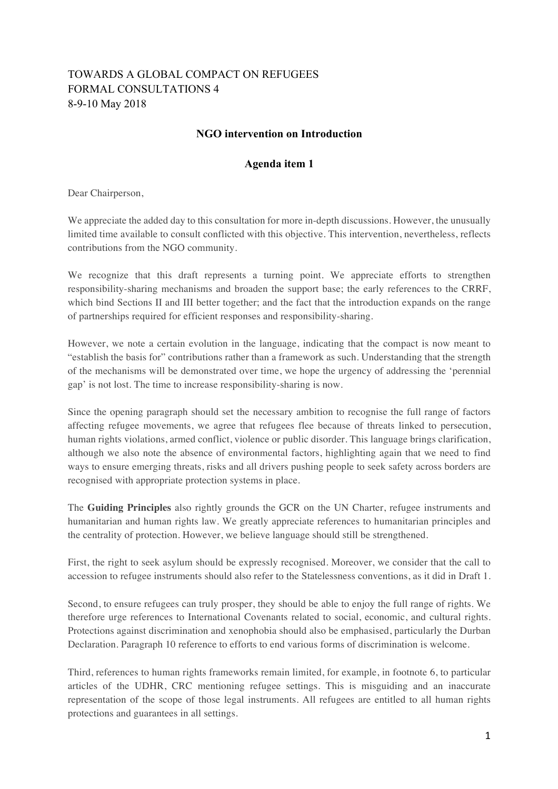## TOWARDS A GLOBAL COMPACT ON REFUGEES FORMAL CONSULTATIONS 4 8-9-10 May 2018

## **NGO intervention on Introduction**

## **Agenda item 1**

Dear Chairperson,

We appreciate the added day to this consultation for more in-depth discussions. However, the unusually limited time available to consult conflicted with this objective. This intervention, nevertheless, reflects contributions from the NGO community.

We recognize that this draft represents a turning point. We appreciate efforts to strengthen responsibility-sharing mechanisms and broaden the support base; the early references to the CRRF, which bind Sections II and III better together; and the fact that the introduction expands on the range of partnerships required for efficient responses and responsibility-sharing.

However, we note a certain evolution in the language, indicating that the compact is now meant to "establish the basis for" contributions rather than a framework as such. Understanding that the strength of the mechanisms will be demonstrated over time, we hope the urgency of addressing the 'perennial gap' is not lost. The time to increase responsibility-sharing is now.

Since the opening paragraph should set the necessary ambition to recognise the full range of factors affecting refugee movements, we agree that refugees flee because of threats linked to persecution, human rights violations, armed conflict, violence or public disorder. This language brings clarification, although we also note the absence of environmental factors, highlighting again that we need to find ways to ensure emerging threats, risks and all drivers pushing people to seek safety across borders are recognised with appropriate protection systems in place.

The **Guiding Principles** also rightly grounds the GCR on the UN Charter, refugee instruments and humanitarian and human rights law. We greatly appreciate references to humanitarian principles and the centrality of protection. However, we believe language should still be strengthened.

First, the right to seek asylum should be expressly recognised. Moreover, we consider that the call to accession to refugee instruments should also refer to the Statelessness conventions, as it did in Draft 1.

Second, to ensure refugees can truly prosper, they should be able to enjoy the full range of rights. We therefore urge references to International Covenants related to social, economic, and cultural rights. Protections against discrimination and xenophobia should also be emphasised, particularly the Durban Declaration. Paragraph 10 reference to efforts to end various forms of discrimination is welcome.

Third, references to human rights frameworks remain limited, for example, in footnote 6, to particular articles of the UDHR, CRC mentioning refugee settings. This is misguiding and an inaccurate representation of the scope of those legal instruments. All refugees are entitled to all human rights protections and guarantees in all settings.